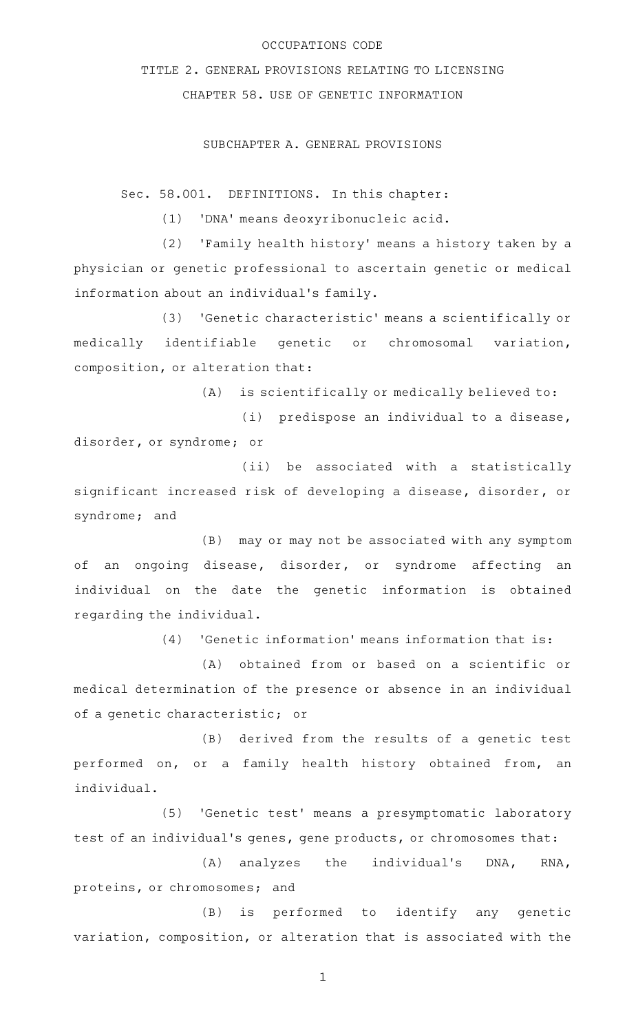## OCCUPATIONS CODE

TITLE 2. GENERAL PROVISIONS RELATING TO LICENSING CHAPTER 58. USE OF GENETIC INFORMATION

## SUBCHAPTER A. GENERAL PROVISIONS

Sec. 58.001. DEFINITIONS. In this chapter:

(1) 'DNA' means deoxyribonucleic acid.

(2) 'Family health history' means a history taken by a physician or genetic professional to ascertain genetic or medical information about an individual 's family.

(3) 'Genetic characteristic' means a scientifically or medically identifiable genetic or chromosomal variation, composition, or alteration that:

 $(A)$  is scientifically or medically believed to:

(i) predispose an individual to a disease, disorder, or syndrome; or

(ii) be associated with a statistically significant increased risk of developing a disease, disorder, or syndrome; and

(B) may or may not be associated with any symptom of an ongoing disease, disorder, or syndrome affecting an individual on the date the genetic information is obtained regarding the individual.

(4) 'Genetic information' means information that is:

(A) obtained from or based on a scientific or medical determination of the presence or absence in an individual of a genetic characteristic; or

(B) derived from the results of a genetic test performed on, or a family health history obtained from, an individual.

(5) 'Genetic test' means a presymptomatic laboratory test of an individual 's genes, gene products, or chromosomes that:

(A) analyzes the individual's DNA, RNA, proteins, or chromosomes; and

 $(B)$  is performed to identify any genetic variation, composition, or alteration that is associated with the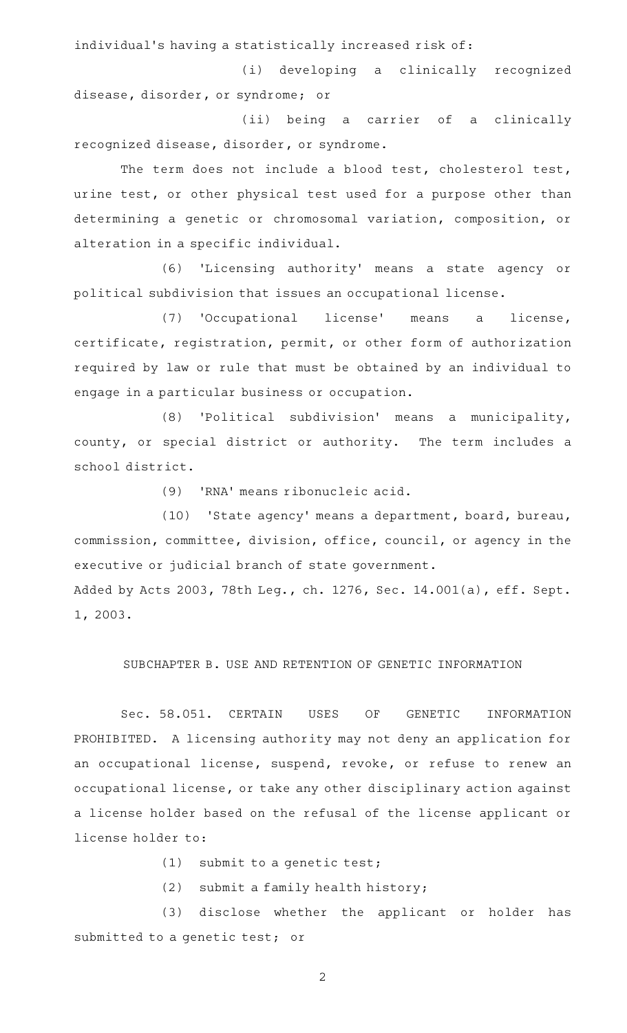individual's having a statistically increased risk of:

(i) developing a clinically recognized disease, disorder, or syndrome; or

(ii) being a carrier of a clinically recognized disease, disorder, or syndrome.

The term does not include a blood test, cholesterol test, urine test, or other physical test used for a purpose other than determining a genetic or chromosomal variation, composition, or alteration in a specific individual.

(6) 'Licensing authority' means a state agency or political subdivision that issues an occupational license.

(7) 'Occupational license' means a license, certificate, registration, permit, or other form of authorization required by law or rule that must be obtained by an individual to engage in a particular business or occupation.

 $(8)$  'Political subdivision' means a municipality, county, or special district or authority. The term includes a school district.

(9) 'RNA' means ribonucleic acid.

(10) 'State agency' means a department, board, bureau, commission, committee, division, office, council, or agency in the executive or judicial branch of state government. Added by Acts 2003, 78th Leg., ch. 1276, Sec. 14.001(a), eff. Sept.

1, 2003.

SUBCHAPTER B. USE AND RETENTION OF GENETIC INFORMATION

Sec. 58.051. CERTAIN USES OF GENETIC INFORMATION PROHIBITED. A licensing authority may not deny an application for an occupational license, suspend, revoke, or refuse to renew an occupational license, or take any other disciplinary action against a license holder based on the refusal of the license applicant or license holder to:

 $(1)$  submit to a genetic test;

 $(2)$  submit a family health history;

(3) disclose whether the applicant or holder has submitted to a genetic test; or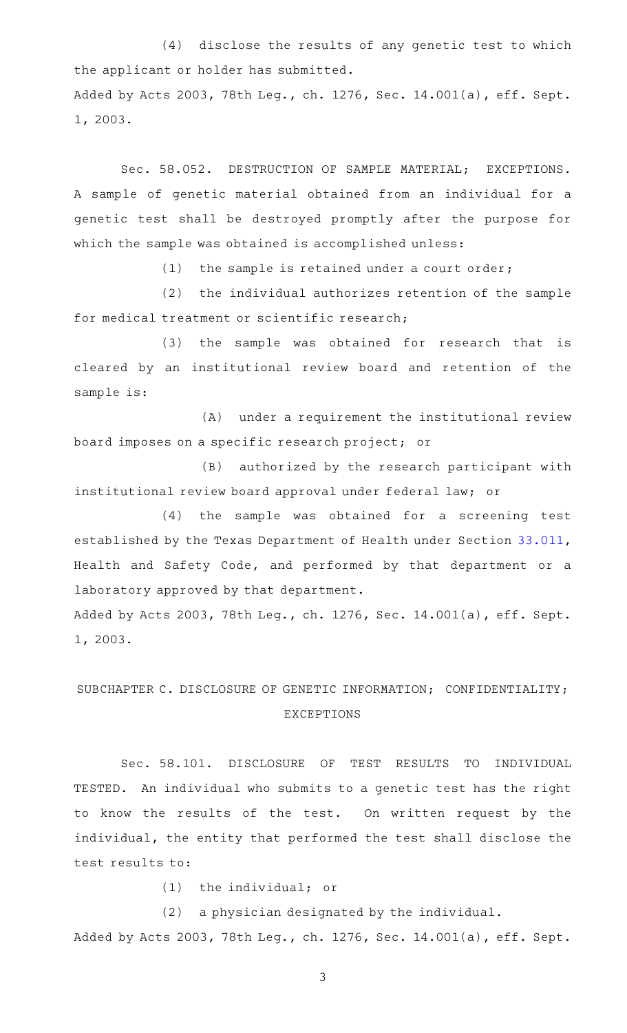(4) disclose the results of any genetic test to which the applicant or holder has submitted. Added by Acts 2003, 78th Leg., ch. 1276, Sec. 14.001(a), eff. Sept. 1, 2003.

Sec. 58.052. DESTRUCTION OF SAMPLE MATERIAL; EXCEPTIONS. A sample of genetic material obtained from an individual for a genetic test shall be destroyed promptly after the purpose for which the sample was obtained is accomplished unless:

 $(1)$  the sample is retained under a court order;

(2) the individual authorizes retention of the sample for medical treatment or scientific research;

(3) the sample was obtained for research that is cleared by an institutional review board and retention of the sample is:

(A) under a requirement the institutional review board imposes on a specific research project; or

(B) authorized by the research participant with institutional review board approval under federal law; or

(4) the sample was obtained for a screening test established by the Texas Department of Health under Section [33.011](http://www.statutes.legis.state.tx.us/GetStatute.aspx?Code=HS&Value=33.011), Health and Safety Code, and performed by that department or a laboratory approved by that department.

Added by Acts 2003, 78th Leg., ch. 1276, Sec. 14.001(a), eff. Sept. 1, 2003.

## SUBCHAPTER C. DISCLOSURE OF GENETIC INFORMATION; CONFIDENTIALITY; EXCEPTIONS

Sec. 58.101. DISCLOSURE OF TEST RESULTS TO INDIVIDUAL TESTED. An individual who submits to a genetic test has the right to know the results of the test. On written request by the individual, the entity that performed the test shall disclose the test results to:

 $(1)$  the individual; or

(2) a physician designated by the individual. Added by Acts 2003, 78th Leg., ch. 1276, Sec. 14.001(a), eff. Sept.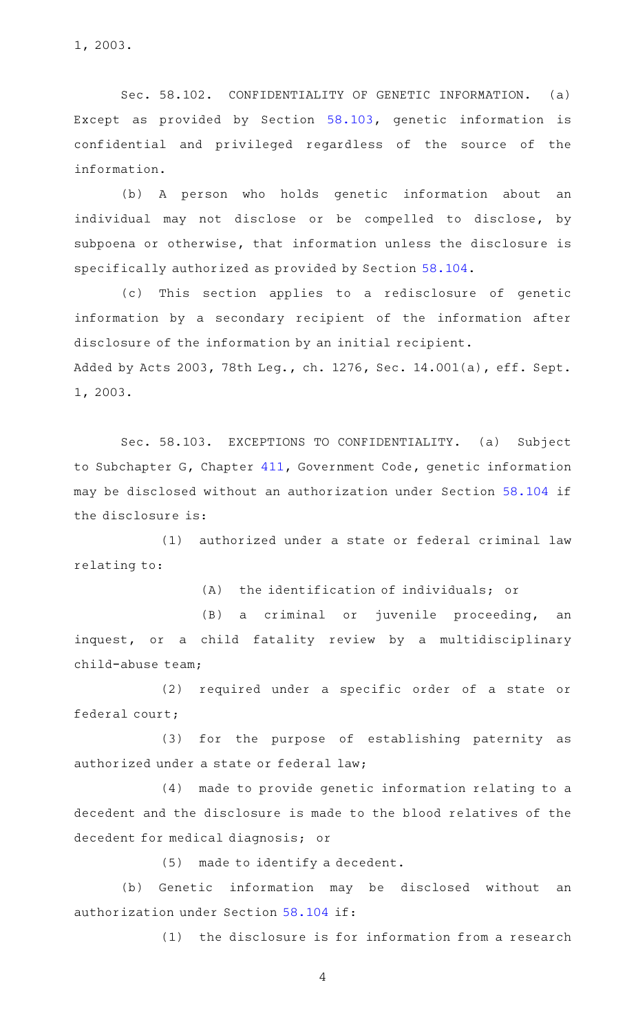1, 2003.

Sec. 58.102. CONFIDENTIALITY OF GENETIC INFORMATION. (a) Except as provided by Section [58.103](http://www.statutes.legis.state.tx.us/GetStatute.aspx?Code=OC&Value=58.103), genetic information is confidential and privileged regardless of the source of the information.

(b) A person who holds genetic information about an individual may not disclose or be compelled to disclose, by subpoena or otherwise, that information unless the disclosure is specifically authorized as provided by Section [58.104.](http://www.statutes.legis.state.tx.us/GetStatute.aspx?Code=OC&Value=58.104)

(c) This section applies to a redisclosure of genetic information by a secondary recipient of the information after disclosure of the information by an initial recipient. Added by Acts 2003, 78th Leg., ch. 1276, Sec. 14.001(a), eff. Sept. 1, 2003.

Sec. 58.103. EXCEPTIONS TO CONFIDENTIALITY. (a) Subject to Subchapter G, Chapter [411](http://www.statutes.legis.state.tx.us/GetStatute.aspx?Code=GV&Value=411), Government Code, genetic information may be disclosed without an authorization under Section [58.104](http://www.statutes.legis.state.tx.us/GetStatute.aspx?Code=OC&Value=58.104) if the disclosure is:

(1) authorized under a state or federal criminal law relating to:

 $(A)$  the identification of individuals; or

(B) a criminal or juvenile proceeding, an inquest, or a child fatality review by a multidisciplinary child-abuse team;

(2) required under a specific order of a state or federal court;

(3) for the purpose of establishing paternity as authorized under a state or federal law;

 $(4)$  made to provide genetic information relating to a decedent and the disclosure is made to the blood relatives of the decedent for medical diagnosis; or

(5) made to identify a decedent.

(b) Genetic information may be disclosed without an authorization under Section [58.104](http://www.statutes.legis.state.tx.us/GetStatute.aspx?Code=OC&Value=58.104) if:

 $(1)$  the disclosure is for information from a research